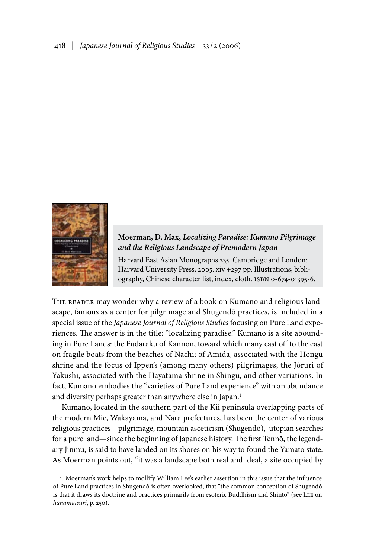

## **Moerman, D. Max,** *Localizing Paradise: Kumano Pilgrimage and the Religious Landscape of Premodern Japan*

Harvard East Asian Monographs 235. Cambridge and London: Harvard University Press, 2005. xiv +297 pp. Illustrations, bibliography, Chinese character list, index, cloth. ISBN 0-674-01395-6.

THE READER may wonder why a review of a book on Kumano and religious landscape, famous as a center for pilgrimage and Shugendō practices, is included in a special issue of the *Japanese Journal of Religious Studies* focusing on Pure Land experiences. The answer is in the title: "localizing paradise." Kumano is a site abounding in Pure Lands: the Fudaraku of Kannon, toward which many cast off to the east on fragile boats from the beaches of Nachi; of Amida, associated with the Hongū shrine and the focus of Ippen's (among many others) pilgrimages; the Jōruri of Yakushi, associated with the Hayatama shrine in Shingū, and other variations. In fact, Kumano embodies the "varieties of Pure Land experience" with an abundance and diversity perhaps greater than anywhere else in Japan.<sup>1</sup>

Kumano, located in the southern part of the Kii peninsula overlapping parts of the modern Mie, Wakayama, and Nara prefectures, has been the center of various religious practices—pilgrimage, mountain asceticism (Shugendō), utopian searches for a pure land—since the beginning of Japanese history. The first Tennō, the legendary Jinmu, is said to have landed on its shores on his way to found the Yamato state. As Moerman points out, "it was a landscape both real and ideal, a site occupied by

1. Moerman's work helps to mollify William Lee's earlier assertion in this issue that the influence of Pure Land practices in Shugendō is often overlooked, that "the common conception of Shugendō is that it draws its doctrine and practices primarily from esoteric Buddhism and Shinto" (see Lee on *hanamatsuri*, p. 250).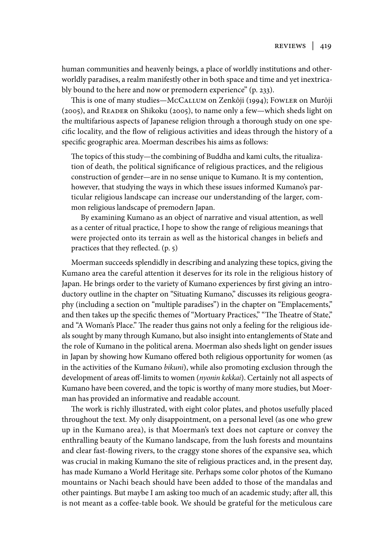human communities and heavenly beings, a place of worldly institutions and otherworldly paradises, a realm manifestly other in both space and time and yet inextricably bound to the here and now or premodern experience" (p. 233).

This is one of many studies—McCallum on Zenkōji (1994); Fowler on Murōji  $(2005)$ , and READER on Shikoku  $(2005)$ , to name only a few—which sheds light on the multifarious aspects of Japanese religion through a thorough study on one specific locality, and the flow of religious activities and ideas through the history of a specific geographic area. Moerman describes his aims as follows:

The topics of this study—the combining of Buddha and kami cults, the ritualization of death, the political significance of religious practices, and the religious construction of gender—are in no sense unique to Kumano. It is my contention, however, that studying the ways in which these issues informed Kumano's particular religious landscape can increase our understanding of the larger, common religious landscape of premodern Japan.

By examining Kumano as an object of narrative and visual attention, as well as a center of ritual practice, I hope to show the range of religious meanings that were projected onto its terrain as well as the historical changes in beliefs and practices that they reflected. (p. 5)

Moerman succeeds splendidly in describing and analyzing these topics, giving the Kumano area the careful attention it deserves for its role in the religious history of Japan. He brings order to the variety of Kumano experiences by first giving an introductory outline in the chapter on "Situating Kumano," discusses its religious geography (including a section on "multiple paradises") in the chapter on "Emplacements," and then takes up the specific themes of "Mortuary Practices," "The Theatre of State," and "A Woman's Place." The reader thus gains not only a feeling for the religious ideals sought by many through Kumano, but also insight into entanglements of State and the role of Kumano in the political arena. Moerman also sheds light on gender issues in Japan by showing how Kumano offered both religious opportunity for women (as in the activities of the Kumano *bikuni*), while also promoting exclusion through the development of areas off-limits to women (*nyonin kekkai*). Certainly not all aspects of Kumano have been covered, and the topic is worthy of many more studies, but Moerman has provided an informative and readable account.

The work is richly illustrated, with eight color plates, and photos usefully placed throughout the text. My only disappointment, on a personal level (as one who grew up in the Kumano area), is that Moerman's text does not capture or convey the enthralling beauty of the Kumano landscape, from the lush forests and mountains and clear fast-flowing rivers, to the craggy stone shores of the expansive sea, which was crucial in making Kumano the site of religious practices and, in the present day, has made Kumano a World Heritage site. Perhaps some color photos of the Kumano mountains or Nachi beach should have been added to those of the mandalas and other paintings. But maybe I am asking too much of an academic study; after all, this is not meant as a coffee-table book. We should be grateful for the meticulous care